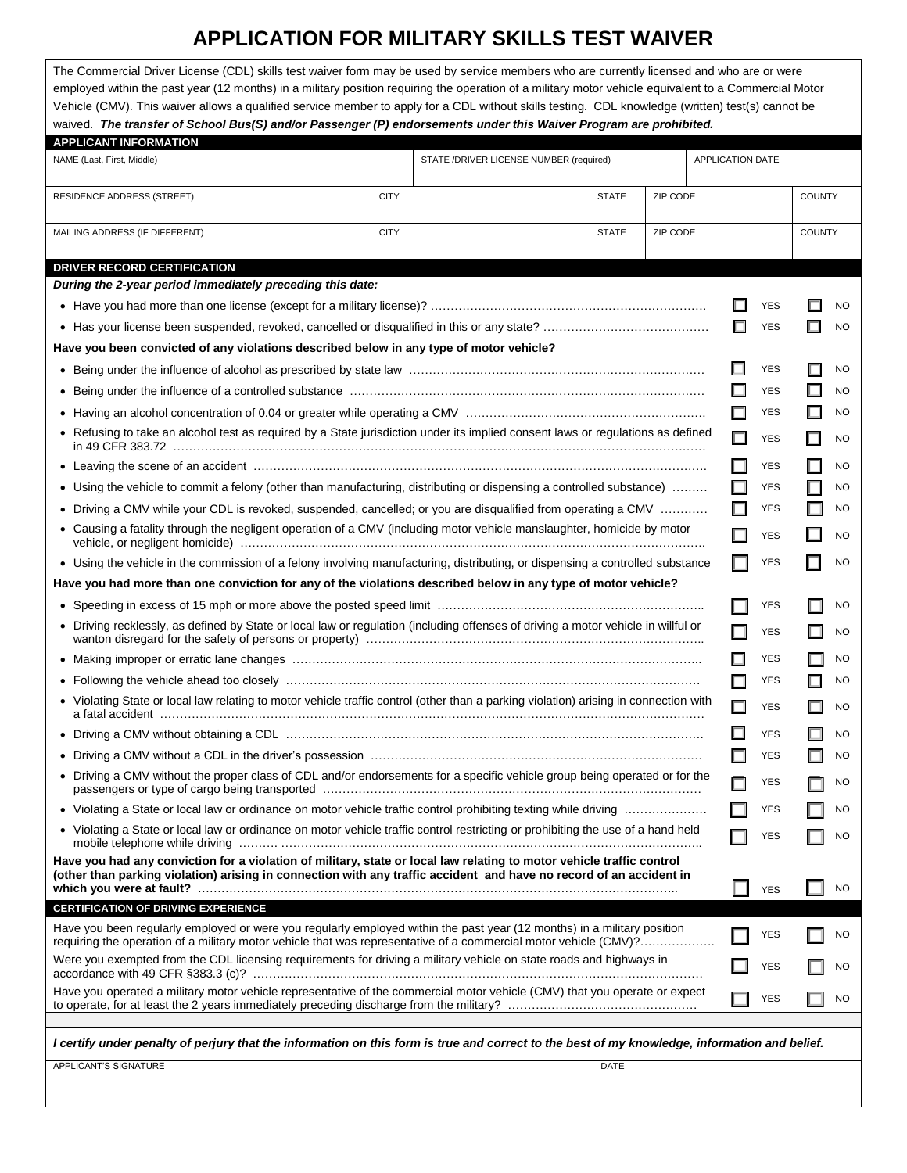## **APPLICATION FOR MILITARY SKILLS TEST WAIVER**

The Commercial Driver License (CDL) skills test waiver form may be used by service members who are currently licensed and who are or were employed within the past year (12 months) in a military position requiring the operation of a military motor vehicle equivalent to a Commercial Motor Vehicle (CMV). This waiver allows a qualified service member to apply for a CDL without skills testing. CDL knowledge (written) test(s) cannot be waived. *The transfer of School Bus(S) and/or Passenger (P) endorsements under this Waiver Program are prohibited.*

| <b>APPLICANT INFORMATION</b>                                                                                                                                                                                                                 |             |                                         |              |          |                         |   |            |                          |           |
|----------------------------------------------------------------------------------------------------------------------------------------------------------------------------------------------------------------------------------------------|-------------|-----------------------------------------|--------------|----------|-------------------------|---|------------|--------------------------|-----------|
| NAME (Last, First, Middle)                                                                                                                                                                                                                   |             | STATE /DRIVER LICENSE NUMBER (required) |              |          | <b>APPLICATION DATE</b> |   |            |                          |           |
| RESIDENCE ADDRESS (STREET)                                                                                                                                                                                                                   | <b>CITY</b> |                                         | <b>STATE</b> | ZIP CODE |                         |   |            | <b>COUNTY</b>            |           |
| MAILING ADDRESS (IF DIFFERENT)                                                                                                                                                                                                               | <b>CITY</b> |                                         | <b>STATE</b> | ZIP CODE |                         |   |            | <b>COUNTY</b>            |           |
| <b>DRIVER RECORD CERTIFICATION</b>                                                                                                                                                                                                           |             |                                         |              |          |                         |   |            |                          |           |
| During the 2-year period immediately preceding this date:                                                                                                                                                                                    |             |                                         |              |          |                         |   |            |                          |           |
|                                                                                                                                                                                                                                              |             |                                         |              |          |                         |   | <b>YES</b> |                          | NO        |
|                                                                                                                                                                                                                                              |             |                                         |              |          |                         | П | <b>YES</b> |                          | <b>NO</b> |
| Have you been convicted of any violations described below in any type of motor vehicle?                                                                                                                                                      |             |                                         |              |          |                         |   |            |                          |           |
|                                                                                                                                                                                                                                              |             |                                         |              |          |                         |   | <b>YES</b> |                          | <b>NO</b> |
|                                                                                                                                                                                                                                              |             |                                         |              |          |                         |   | <b>YES</b> | $\Box$                   | <b>NO</b> |
|                                                                                                                                                                                                                                              |             |                                         |              |          |                         |   | <b>YES</b> | $\Box$                   | <b>NO</b> |
| • Refusing to take an alcohol test as required by a State jurisdiction under its implied consent laws or regulations as defined                                                                                                              |             |                                         |              |          |                         |   | <b>YES</b> |                          | <b>NO</b> |
|                                                                                                                                                                                                                                              |             |                                         |              |          |                         |   | <b>YES</b> | $\Box$                   | <b>NO</b> |
| • Using the vehicle to commit a felony (other than manufacturing, distributing or dispensing a controlled substance)                                                                                                                         |             |                                         |              |          |                         |   | <b>YES</b> | $\Box$                   | <b>NO</b> |
| Driving a CMV while your CDL is revoked, suspended, cancelled; or you are disqualified from operating a CMV                                                                                                                                  |             |                                         |              |          |                         |   | YES        |                          | <b>NO</b> |
| • Causing a fatality through the negligent operation of a CMV (including motor vehicle manslaughter, homicide by motor                                                                                                                       |             |                                         |              |          |                         |   | <b>YES</b> |                          | <b>NO</b> |
| • Using the vehicle in the commission of a felony involving manufacturing, distributing, or dispensing a controlled substance                                                                                                                |             |                                         |              |          |                         |   | <b>YES</b> |                          | <b>NO</b> |
| Have you had more than one conviction for any of the violations described below in any type of motor vehicle?                                                                                                                                |             |                                         |              |          |                         |   |            |                          |           |
|                                                                                                                                                                                                                                              |             |                                         |              |          |                         |   | YES        | L.                       | NO        |
| • Driving recklessly, as defined by State or local law or regulation (including offenses of driving a motor vehicle in willful or                                                                                                            |             |                                         |              |          |                         |   | <b>YES</b> | $\overline{\phantom{a}}$ | <b>NO</b> |
|                                                                                                                                                                                                                                              |             |                                         |              |          |                         |   | <b>YES</b> |                          | <b>NO</b> |
|                                                                                                                                                                                                                                              |             |                                         |              |          |                         |   | YES        | Π                        | <b>NO</b> |
| • Violating State or local law relating to motor vehicle traffic control (other than a parking violation) arising in connection with                                                                                                         |             |                                         |              |          |                         |   | <b>YES</b> | □                        | NO        |
|                                                                                                                                                                                                                                              |             |                                         |              |          |                         |   | <b>YES</b> | E                        | NO        |
|                                                                                                                                                                                                                                              |             |                                         |              |          |                         |   | YES        |                          | <b>NO</b> |
| • Driving a CMV without the proper class of CDL and/or endorsements for a specific vehicle group being operated or for the                                                                                                                   |             |                                         |              |          |                         |   | <b>YES</b> |                          | <b>NO</b> |
| • Violating a State or local law or ordinance on motor vehicle traffic control prohibiting texting while driving                                                                                                                             |             |                                         |              |          |                         |   | YES        |                          | <b>NO</b> |
| • Violating a State or local law or ordinance on motor vehicle traffic control restricting or prohibiting the use of a hand held                                                                                                             |             |                                         |              |          |                         |   | YES        |                          | NO        |
| Have you had any conviction for a violation of military, state or local law relating to motor vehicle traffic control<br>(other than parking violation) arising in connection with any traffic accident and have no record of an accident in |             |                                         |              |          |                         |   | <b>YES</b> |                          | <b>NO</b> |
| <b>CERTIFICATION OF DRIVING EXPERIENCE</b>                                                                                                                                                                                                   |             |                                         |              |          |                         |   |            |                          |           |
| Have you been regularly employed or were you regularly employed within the past year (12 months) in a military position<br>requiring the operation of a military motor vehicle that was representative of a commercial motor vehicle (CMV)?  |             |                                         |              |          |                         |   | YES        |                          | <b>NO</b> |
| Were you exempted from the CDL licensing requirements for driving a military vehicle on state roads and highways in                                                                                                                          |             |                                         |              |          |                         |   | <b>YES</b> |                          | <b>NO</b> |
| Have you operated a military motor vehicle representative of the commercial motor vehicle (CMV) that you operate or expect                                                                                                                   |             |                                         |              |          |                         |   | <b>YES</b> |                          | NO        |
| I certify under penalty of perjury that the information on this form is true and correct to the best of my knowledge, information and belief.                                                                                                |             |                                         |              |          |                         |   |            |                          |           |
| APPLICANT'S SIGNATURE                                                                                                                                                                                                                        |             |                                         | <b>DATE</b>  |          |                         |   |            |                          |           |